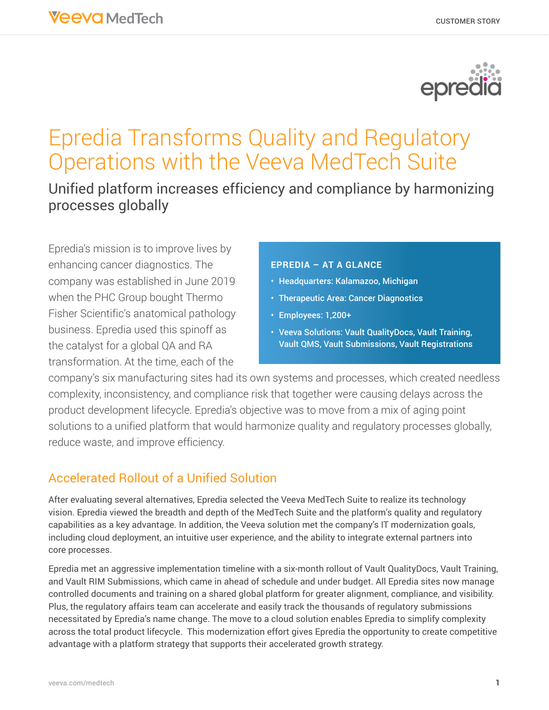

# Epredia Transforms Quality and Regulatory Operations with the Veeva MedTech Suite

Unified platform increases efficiency and compliance by harmonizing processes globally

Epredia's mission is to improve lives by enhancing cancer diagnostics. The company was established in June 2019 when the PHC Group bought Thermo Fisher Scientific's anatomical pathology business. Epredia used this spinoff as the catalyst for a global QA and RA transformation. At the time, each of the

#### **EPREDIA – AT A GLANCE**

- Headquarters: Kalamazoo, Michigan
- Therapeutic Area: Cancer Diagnostics
- Employees: 1,200+
- Veeva Solutions: Vault QualityDocs, Vault Training, Vault QMS, Vault Submissions, Vault Registrations

company's six manufacturing sites had its own systems and processes, which created needless complexity, inconsistency, and compliance risk that together were causing delays across the product development lifecycle. Epredia's objective was to move from a mix of aging point solutions to a unified platform that would harmonize quality and regulatory processes globally, reduce waste, and improve efficiency.

## Accelerated Rollout of a Unified Solution

After evaluating several alternatives, Epredia selected the Veeva MedTech Suite to realize its technology vision. Epredia viewed the breadth and depth of the MedTech Suite and the platform's quality and regulatory capabilities as a key advantage. In addition, the Veeva solution met the company's IT modernization goals, including cloud deployment, an intuitive user experience, and the ability to integrate external partners into core processes.

Epredia met an aggressive implementation timeline with a six-month rollout of Vault QualityDocs, Vault Training, and Vault RIM Submissions, which came in ahead of schedule and under budget. All Epredia sites now manage controlled documents and training on a shared global platform for greater alignment, compliance, and visibility. Plus, the regulatory affairs team can accelerate and easily track the thousands of regulatory submissions necessitated by Epredia's name change. The move to a cloud solution enables Epredia to simplify complexity across the total product lifecycle. This modernization effort gives Epredia the opportunity to create competitive advantage with a platform strategy that supports their accelerated growth strategy.